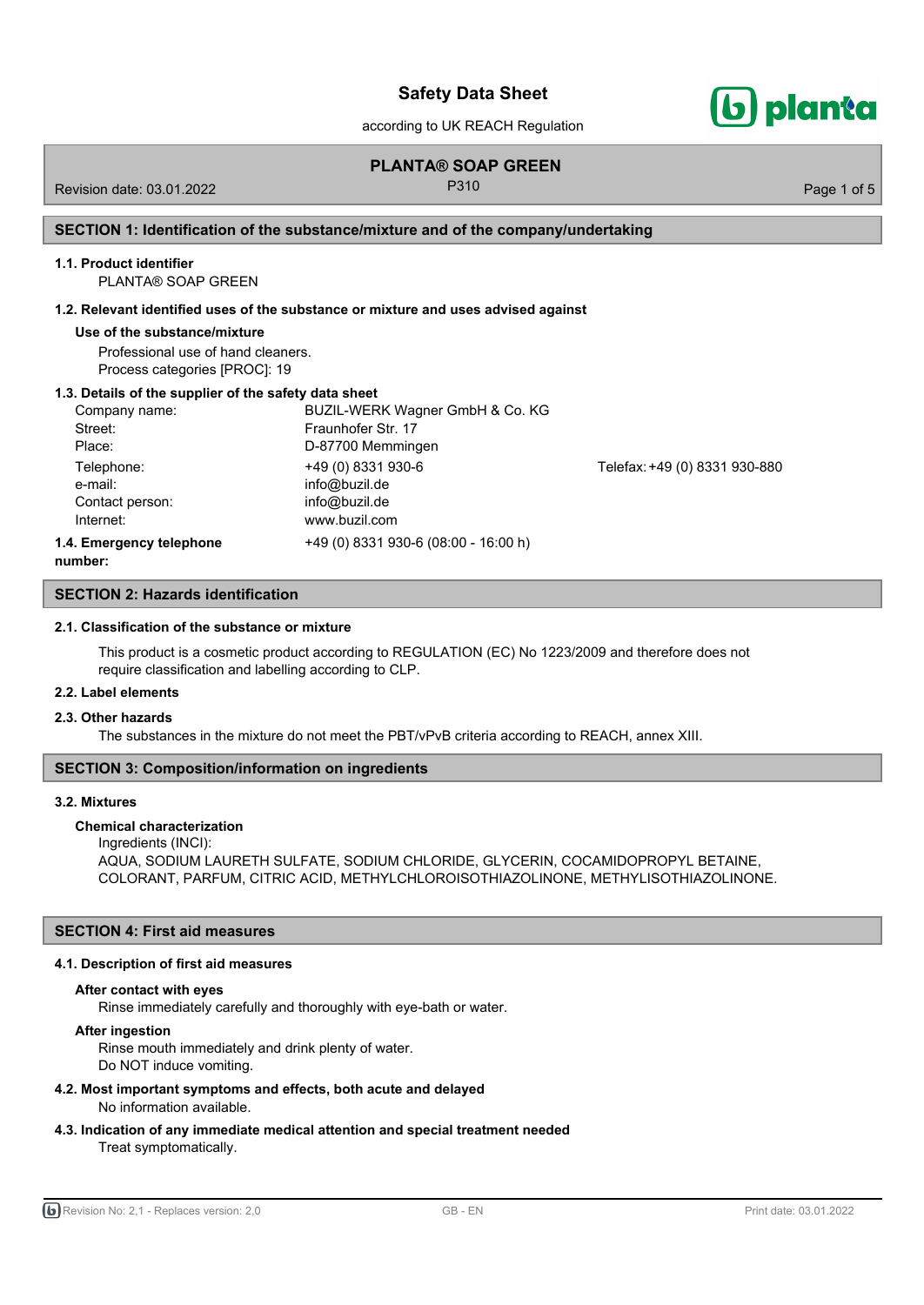according to UK REACH Regulation

## **PLANTA® SOAP GREEN**

Revision date: 03.01.2022 **P310** P310 Page 1 of 5

## **SECTION 1: Identification of the substance/mixture and of the company/undertaking**

#### **1.1. Product identifier**

PLANTA® SOAP GREEN

## **1.2. Relevant identified uses of the substance or mixture and uses advised against**

#### **Use of the substance/mixture**

Professional use of hand cleaners. Process categories [PROC]: 19

## **1.3. Details of the supplier of the safety data sheet**

| Company name:                      | BUZIL-WERK Wagner GmbH & Co. KG      |                               |
|------------------------------------|--------------------------------------|-------------------------------|
| Street:                            | Fraunhofer Str. 17                   |                               |
| Place:                             | D-87700 Memmingen                    |                               |
| Telephone:                         | +49 (0) 8331 930-6                   | Telefax: +49 (0) 8331 930-880 |
| e-mail:                            | info@buzil.de                        |                               |
| Contact person:                    | info@buzil.de                        |                               |
| Internet:                          | www.buzil.com                        |                               |
| 1.4. Emergency telephone<br>numhar | +49 (0) 8331 930-6 (08:00 - 16:00 h) |                               |

**number:**

## **SECTION 2: Hazards identification**

#### **2.1. Classification of the substance or mixture**

This product is a cosmetic product according to REGULATION (EC) No 1223/2009 and therefore does not require classification and labelling according to CLP.

#### **2.2. Label elements**

## **2.3. Other hazards**

The substances in the mixture do not meet the PBT/vPvB criteria according to REACH, annex XIII.

## **SECTION 3: Composition/information on ingredients**

#### **3.2. Mixtures**

## **Chemical characterization**

Ingredients (INCI): AQUA, SODIUM LAURETH SULFATE, SODIUM CHLORIDE, GLYCERIN, COCAMIDOPROPYL BETAINE, COLORANT, PARFUM, CITRIC ACID, METHYLCHLOROISOTHIAZOLINONE, METHYLISOTHIAZOLINONE.

## **SECTION 4: First aid measures**

#### **4.1. Description of first aid measures**

## **After contact with eyes**

Rinse immediately carefully and thoroughly with eye-bath or water.

## **After ingestion**

Rinse mouth immediately and drink plenty of water.

Do NOT induce vomiting.

## **4.2. Most important symptoms and effects, both acute and delayed**

No information available.

**4.3. Indication of any immediate medical attention and special treatment needed** Treat symptomatically.

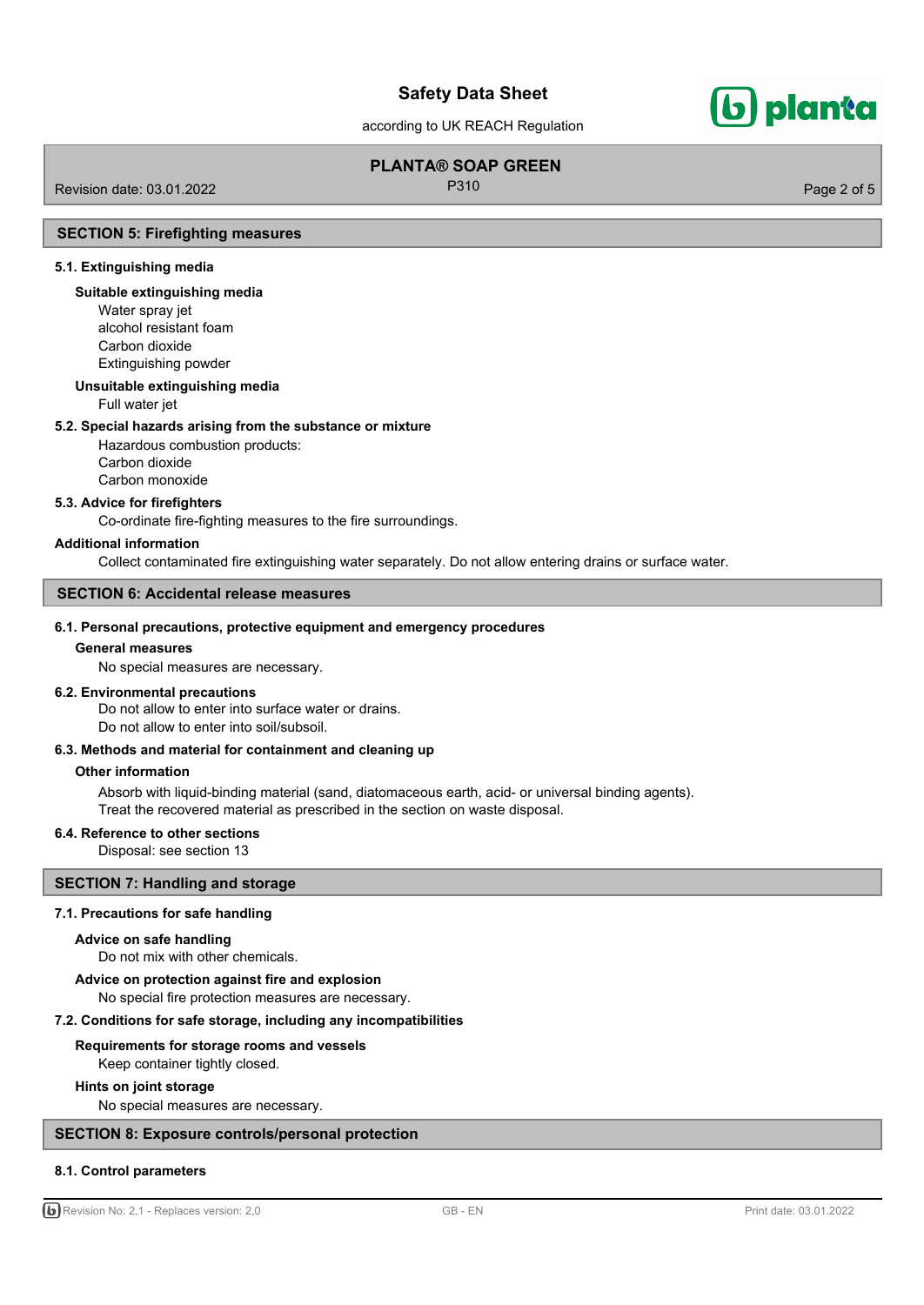according to UK REACH Regulation

# **PLANTA® SOAP GREEN**

Revision date: 03.01.2022 **P310** P310 Page 2 of 5

## **SECTION 5: Firefighting measures**

## **5.1. Extinguishing media**

## **Suitable extinguishing media**

Water spray jet alcohol resistant foam Carbon dioxide Extinguishing powder

#### **Unsuitable extinguishing media**

Full water jet

## **5.2. Special hazards arising from the substance or mixture**

Hazardous combustion products: Carbon dioxide Carbon monoxide

#### **5.3. Advice for firefighters**

Co-ordinate fire-fighting measures to the fire surroundings.

#### **Additional information**

Collect contaminated fire extinguishing water separately. Do not allow entering drains or surface water.

## **SECTION 6: Accidental release measures**

## **6.1. Personal precautions, protective equipment and emergency procedures**

## **General measures**

No special measures are necessary.

## **6.2. Environmental precautions**

Do not allow to enter into surface water or drains. Do not allow to enter into soil/subsoil.

## **6.3. Methods and material for containment and cleaning up**

#### **Other information**

Absorb with liquid-binding material (sand, diatomaceous earth, acid- or universal binding agents). Treat the recovered material as prescribed in the section on waste disposal.

## **6.4. Reference to other sections**

Disposal: see section 13

## **SECTION 7: Handling and storage**

#### **7.1. Precautions for safe handling**

#### **Advice on safe handling**

Do not mix with other chemicals.

#### **Advice on protection against fire and explosion**

No special fire protection measures are necessary.

#### **7.2. Conditions for safe storage, including any incompatibilities**

## **Requirements for storage rooms and vessels**

Keep container tightly closed.

## **Hints on joint storage**

No special measures are necessary.

## **SECTION 8: Exposure controls/personal protection**

## **8.1. Control parameters**

G Revision No: 2,1 - Replaces version: 2,0 GB - EN GB - EN Print date: 03.01.2022

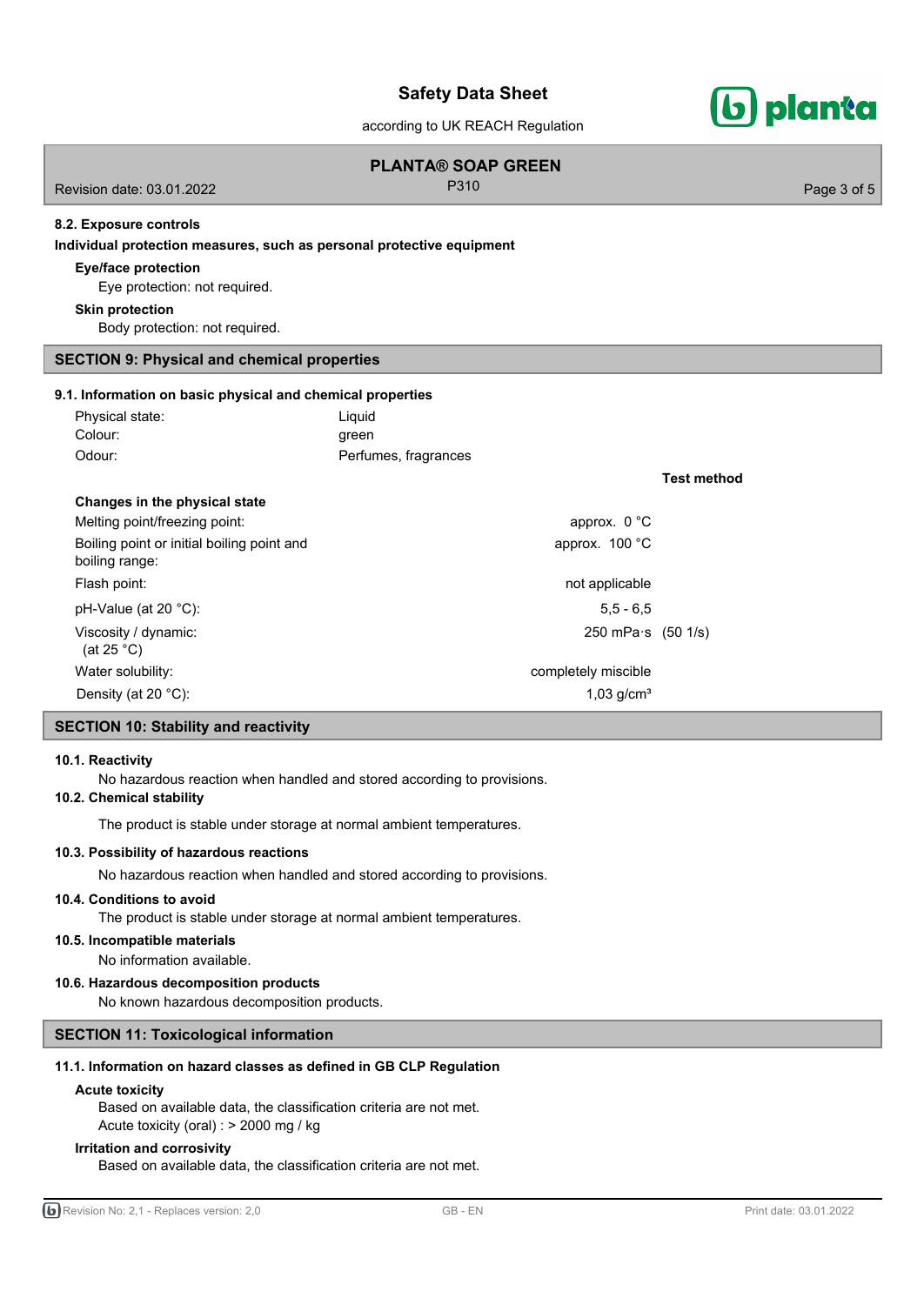according to UK REACH Regulation

| according to Citit to the togalation.                                 |                                   |                            |                    |             |  |
|-----------------------------------------------------------------------|-----------------------------------|----------------------------|--------------------|-------------|--|
| Revision date: 03.01.2022                                             | <b>PLANTA® SOAP GREEN</b><br>P310 |                            |                    | Page 3 of 5 |  |
| 8.2. Exposure controls                                                |                                   |                            |                    |             |  |
| Individual protection measures, such as personal protective equipment |                                   |                            |                    |             |  |
| <b>Eye/face protection</b><br>Eye protection: not required.           |                                   |                            |                    |             |  |
| <b>Skin protection</b>                                                |                                   |                            |                    |             |  |
| Body protection: not required.                                        |                                   |                            |                    |             |  |
| <b>SECTION 9: Physical and chemical properties</b>                    |                                   |                            |                    |             |  |
| 9.1. Information on basic physical and chemical properties            |                                   |                            |                    |             |  |
| Physical state:                                                       | Liquid                            |                            |                    |             |  |
| Colour:                                                               | green                             |                            |                    |             |  |
| Odour:                                                                | Perfumes, fragrances              |                            |                    |             |  |
|                                                                       |                                   |                            | <b>Test method</b> |             |  |
| Changes in the physical state                                         |                                   |                            |                    |             |  |
| Melting point/freezing point:                                         |                                   | approx. 0 °C               |                    |             |  |
| Boiling point or initial boiling point and<br>boiling range:          |                                   | approx. 100 °C             |                    |             |  |
| Flash point:                                                          |                                   | not applicable             |                    |             |  |
| pH-Value (at 20 °C):                                                  |                                   | $5,5 - 6,5$                |                    |             |  |
| Viscosity / dynamic:<br>(at 25 $^{\circ}$ C)                          |                                   | 250 mPa $\cdot$ s (50 1/s) |                    |             |  |
| Water solubility:                                                     |                                   | completely miscible        |                    |             |  |

Density (at 20 °C): 1,03 g/cm<sup>3</sup>

## **SECTION 10: Stability and reactivity**

## **10.1. Reactivity**

No hazardous reaction when handled and stored according to provisions.

## **10.2. Chemical stability**

The product is stable under storage at normal ambient temperatures.

## **10.3. Possibility of hazardous reactions**

No hazardous reaction when handled and stored according to provisions.

## **10.4. Conditions to avoid**

The product is stable under storage at normal ambient temperatures.

## **10.5. Incompatible materials**

No information available.

## **10.6. Hazardous decomposition products**

No known hazardous decomposition products.

## **SECTION 11: Toxicological information**

## **11.1. Information on hazard classes as defined in GB CLP Regulation**

## **Acute toxicity**

Based on available data, the classification criteria are not met. Acute toxicity (oral) : > 2000 mg / kg

## **Irritation and corrosivity**

Based on available data, the classification criteria are not met.

b) planta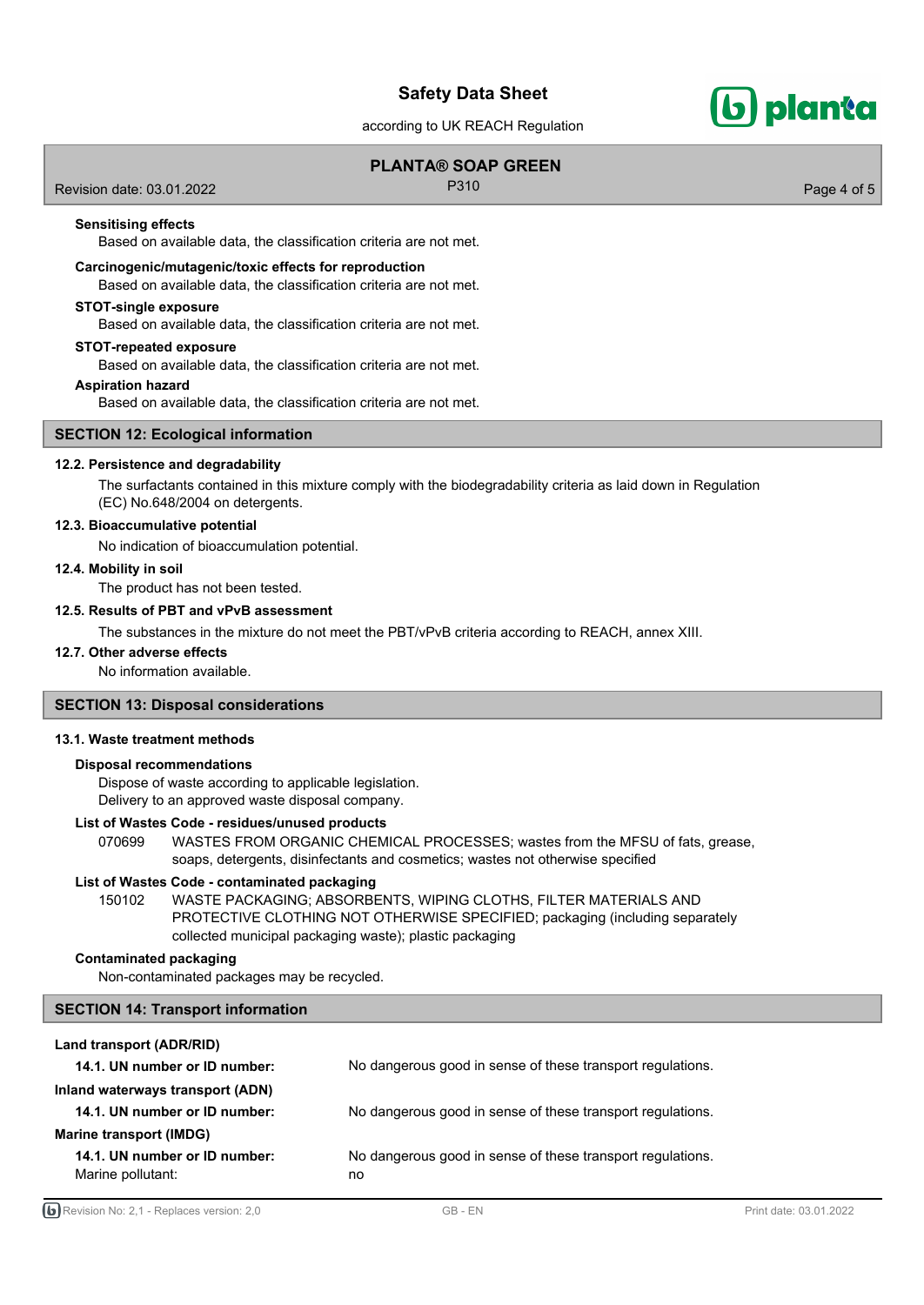according to UK REACH Regulation

## **PLANTA® SOAP GREEN**

Revision date: 03.01.2022 **P310** P310 Page 4 of 5

b) planta

## **Sensitising effects**

Based on available data, the classification criteria are not met.

## **Carcinogenic/mutagenic/toxic effects for reproduction**

Based on available data, the classification criteria are not met.

## **STOT-single exposure**

Based on available data, the classification criteria are not met.

#### **STOT-repeated exposure**

Based on available data, the classification criteria are not met.

## **Aspiration hazard**

Based on available data, the classification criteria are not met.

## **SECTION 12: Ecological information**

## **12.2. Persistence and degradability**

The surfactants contained in this mixture comply with the biodegradability criteria as laid down in Regulation (EC) No.648/2004 on detergents.

## **12.3. Bioaccumulative potential**

No indication of bioaccumulation potential.

## **12.4. Mobility in soil**

The product has not been tested.

## **12.5. Results of PBT and vPvB assessment**

The substances in the mixture do not meet the PBT/vPvB criteria according to REACH, annex XIII.

## **12.7. Other adverse effects**

No information available.

## **SECTION 13: Disposal considerations**

## **13.1. Waste treatment methods**

## **Disposal recommendations**

Dispose of waste according to applicable legislation. Delivery to an approved waste disposal company.

## **List of Wastes Code - residues/unused products**

070699 WASTES FROM ORGANIC CHEMICAL PROCESSES; wastes from the MFSU of fats, grease, soaps, detergents, disinfectants and cosmetics; wastes not otherwise specified

#### **List of Wastes Code - contaminated packaging**

WASTE PACKAGING; ABSORBENTS, WIPING CLOTHS, FILTER MATERIALS AND PROTECTIVE CLOTHING NOT OTHERWISE SPECIFIED; packaging (including separately collected municipal packaging waste); plastic packaging 150102

## **Contaminated packaging**

Non-contaminated packages may be recycled.

#### **SECTION 14: Transport information**

## **Land transport (ADR/RID)**

| 14.1. UN number or ID number:                      | No dangerous good in sense of these transport regulations.       |
|----------------------------------------------------|------------------------------------------------------------------|
| Inland waterways transport (ADN)                   |                                                                  |
| 14.1. UN number or ID number:                      | No dangerous good in sense of these transport regulations.       |
| Marine transport (IMDG)                            |                                                                  |
| 14.1. UN number or ID number:<br>Marine pollutant: | No dangerous good in sense of these transport regulations.<br>no |